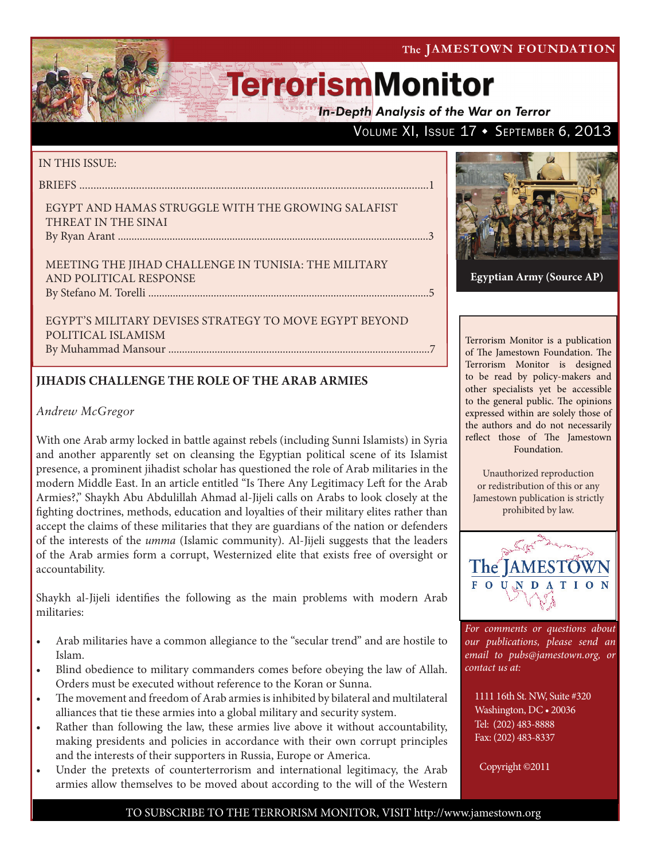The JAMESTOWN FOUNDATION

# **TerrorismMonitor**

**In-Depth Analysis of the War on Terror** 

## VOLUME XI, ISSUE 17 + SEPTEMBER 6, 2013

### IN THIS ISSUE:

briefs ...........................................................................................................................1

Egypt and Hamas Struggle with the Growing Salafist THREAT IN THE SINAI By Ryan Arant ..................................................................................................................3

Meeting the Jihad Challenge in Tunisia: The Military and Political Response by Stefano M. Torelli .......................................................................................................5

Egypt's Military Devises Strategy to Move Egypt beyond Political Islamism By Muhammad Mansour ................................................................................................7

## **JIHADIS CHALLENGE THE ROLE OF THE ARAB ARMIES**

## *Andrew McGregor*

With one Arab army locked in battle against rebels (including Sunni Islamists) in Syria and another apparently set on cleansing the Egyptian political scene of its Islamist presence, a prominent jihadist scholar has questioned the role of Arab militaries in the modern Middle East. In an article entitled "Is There Any Legitimacy Left for the Arab Armies?," Shaykh Abu Abdulillah Ahmad al-Jijeli calls on Arabs to look closely at the fighting doctrines, methods, education and loyalties of their military elites rather than accept the claims of these militaries that they are guardians of the nation or defenders of the interests of the *umma* (Islamic community). Al-Jijeli suggests that the leaders of the Arab armies form a corrupt, Westernized elite that exists free of oversight or accountability.

Shaykh al-Jijeli identifies the following as the main problems with modern Arab militaries:

- Arab militaries have a common allegiance to the "secular trend" and are hostile to Islam.
- Blind obedience to military commanders comes before obeying the law of Allah. Orders must be executed without reference to the Koran or Sunna.
- The movement and freedom of Arab armies is inhibited by bilateral and multilateral alliances that tie these armies into a global military and security system.
- Rather than following the law, these armies live above it without accountability, making presidents and policies in accordance with their own corrupt principles and the interests of their supporters in Russia, Europe or America.
- Under the pretexts of counterterrorism and international legitimacy, the Arab armies allow themselves to be moved about according to the will of the Western



**Egyptian Army (Source AP)**

Terrorism Monitor is a publication of The Jamestown Foundation. The Terrorism Monitor is designed to be read by policy-makers and other specialists yet be accessible to the general public. The opinions expressed within are solely those of the authors and do not necessarily reflect those of The Jamestown Foundation.

Unauthorized reproduction or redistribution of this or any Jamestown publication is strictly prohibited by law.



*For comments or questions about our publications, please send an email to pubs@jamestown.org, or contact us at:* 

1111 16th St. NW, Suite #320 Washington, DC • 20036 Tel: (202) 483-8888 Fax: (202) 483-8337

Copyright ©2011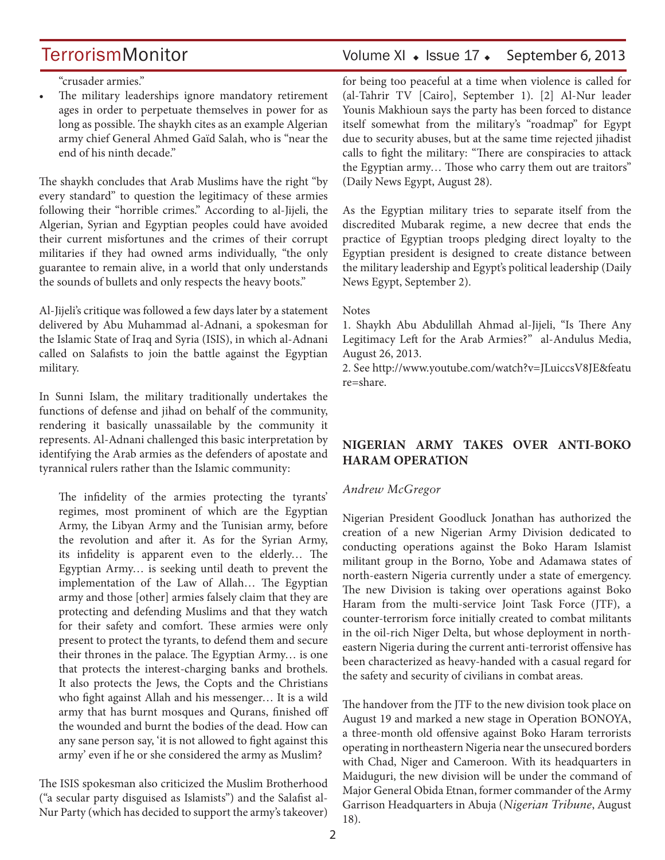"crusader armies."

The military leaderships ignore mandatory retirement ages in order to perpetuate themselves in power for as long as possible. The shaykh cites as an example Algerian army chief General Ahmed Gaïd Salah, who is "near the end of his ninth decade."

The shaykh concludes that Arab Muslims have the right "by every standard" to question the legitimacy of these armies following their "horrible crimes." According to al-Jijeli, the Algerian, Syrian and Egyptian peoples could have avoided their current misfortunes and the crimes of their corrupt militaries if they had owned arms individually, "the only guarantee to remain alive, in a world that only understands the sounds of bullets and only respects the heavy boots."

Al-Jijeli's critique was followed a few days later by a statement delivered by Abu Muhammad al-Adnani, a spokesman for the Islamic State of Iraq and Syria (ISIS), in which al-Adnani called on Salafists to join the battle against the Egyptian military.

In Sunni Islam, the military traditionally undertakes the functions of defense and jihad on behalf of the community, rendering it basically unassailable by the community it represents. Al-Adnani challenged this basic interpretation by identifying the Arab armies as the defenders of apostate and tyrannical rulers rather than the Islamic community:

The infidelity of the armies protecting the tyrants' regimes, most prominent of which are the Egyptian Army, the Libyan Army and the Tunisian army, before the revolution and after it. As for the Syrian Army, its infidelity is apparent even to the elderly… The Egyptian Army… is seeking until death to prevent the implementation of the Law of Allah… The Egyptian army and those [other] armies falsely claim that they are protecting and defending Muslims and that they watch for their safety and comfort. These armies were only present to protect the tyrants, to defend them and secure their thrones in the palace. The Egyptian Army… is one that protects the interest-charging banks and brothels. It also protects the Jews, the Copts and the Christians who fight against Allah and his messenger… It is a wild army that has burnt mosques and Qurans, finished off the wounded and burnt the bodies of the dead. How can any sane person say, 'it is not allowed to fight against this army' even if he or she considered the army as Muslim?

The ISIS spokesman also criticized the Muslim Brotherhood ("a secular party disguised as Islamists") and the Salafist al-Nur Party (which has decided to support the army's takeover)

## TerrorismMonitor Volume XI + Issue 17 + September 6, 2013

for being too peaceful at a time when violence is called for (al-Tahrir TV [Cairo], September 1). [2] Al-Nur leader Younis Makhioun says the party has been forced to distance itself somewhat from the military's "roadmap" for Egypt due to security abuses, but at the same time rejected jihadist calls to fight the military: "There are conspiracies to attack the Egyptian army… Those who carry them out are traitors" (Daily News Egypt, August 28).

As the Egyptian military tries to separate itself from the discredited Mubarak regime, a new decree that ends the practice of Egyptian troops pledging direct loyalty to the Egyptian president is designed to create distance between the military leadership and Egypt's political leadership (Daily News Egypt, September 2).

#### Notes

1. Shaykh Abu Abdulillah Ahmad al-Jijeli, "Is There Any Legitimacy Left for the Arab Armies?" al-Andulus Media, August 26, 2013.

2. See http://www.youtube.com/watch?v=JLuiccsV8JE&featu re=share.

## **NIGERIAN ARMY TAKES OVER ANTI-BOKO HARAM OPERATION**

### *Andrew McGregor*

Nigerian President Goodluck Jonathan has authorized the creation of a new Nigerian Army Division dedicated to conducting operations against the Boko Haram Islamist militant group in the Borno, Yobe and Adamawa states of north-eastern Nigeria currently under a state of emergency. The new Division is taking over operations against Boko Haram from the multi-service Joint Task Force (JTF), a counter-terrorism force initially created to combat militants in the oil-rich Niger Delta, but whose deployment in northeastern Nigeria during the current anti-terrorist offensive has been characterized as heavy-handed with a casual regard for the safety and security of civilians in combat areas.

The handover from the JTF to the new division took place on August 19 and marked a new stage in Operation BONOYA, a three-month old offensive against Boko Haram terrorists operating in northeastern Nigeria near the unsecured borders with Chad, Niger and Cameroon. With its headquarters in Maiduguri, the new division will be under the command of Major General Obida Etnan, former commander of the Army Garrison Headquarters in Abuja (*Nigerian Tribune*, August 18).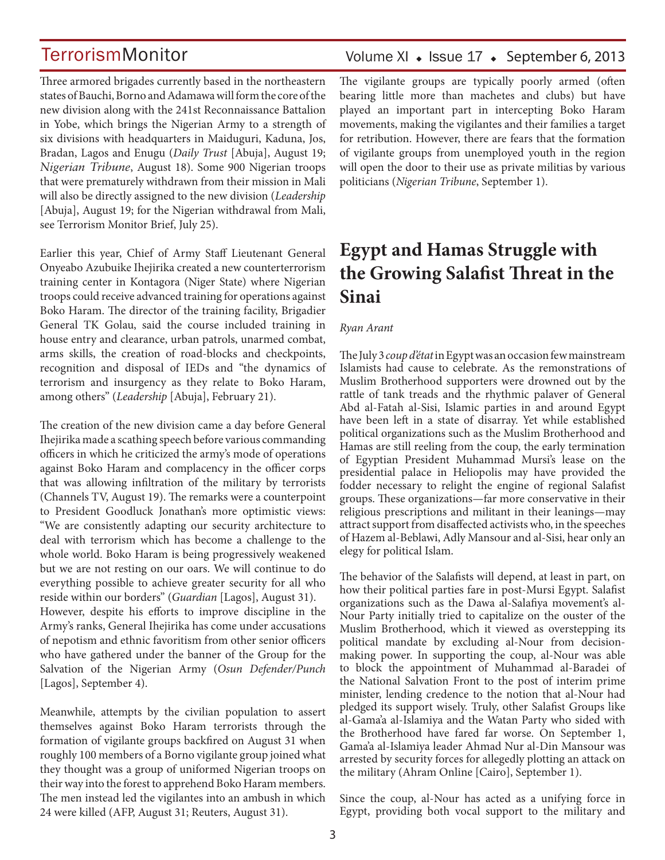Three armored brigades currently based in the northeastern states of Bauchi, Borno and Adamawa will form the core of the new division along with the 241st Reconnaissance Battalion in Yobe, which brings the Nigerian Army to a strength of six divisions with headquarters in Maiduguri, Kaduna, Jos, Bradan, Lagos and Enugu (*Daily Trust* [Abuja], August 19; *Nigerian Tribune*, August 18). Some 900 Nigerian troops that were prematurely withdrawn from their mission in Mali will also be directly assigned to the new division (*Leadership* [Abuja], August 19; for the Nigerian withdrawal from Mali, see Terrorism Monitor Brief, July 25).

Earlier this year, Chief of Army Staff Lieutenant General Onyeabo Azubuike Ihejirika created a new counterterrorism training center in Kontagora (Niger State) where Nigerian troops could receive advanced training for operations against Boko Haram. The director of the training facility, Brigadier General TK Golau, said the course included training in house entry and clearance, urban patrols, unarmed combat, arms skills, the creation of road-blocks and checkpoints, recognition and disposal of IEDs and "the dynamics of terrorism and insurgency as they relate to Boko Haram, among others" (*Leadership* [Abuja], February 21).

The creation of the new division came a day before General Ihejirika made a scathing speech before various commanding officers in which he criticized the army's mode of operations against Boko Haram and complacency in the officer corps that was allowing infiltration of the military by terrorists (Channels TV, August 19). The remarks were a counterpoint to President Goodluck Jonathan's more optimistic views: "We are consistently adapting our security architecture to deal with terrorism which has become a challenge to the whole world. Boko Haram is being progressively weakened but we are not resting on our oars. We will continue to do everything possible to achieve greater security for all who reside within our borders" (*Guardian* [Lagos], August 31). However, despite his efforts to improve discipline in the Army's ranks, General Ihejirika has come under accusations of nepotism and ethnic favoritism from other senior officers who have gathered under the banner of the Group for the Salvation of the Nigerian Army (*Osun Defender/Punch* [Lagos], September 4).

Meanwhile, attempts by the civilian population to assert themselves against Boko Haram terrorists through the formation of vigilante groups backfired on August 31 when roughly 100 members of a Borno vigilante group joined what they thought was a group of uniformed Nigerian troops on their way into the forest to apprehend Boko Haram members. The men instead led the vigilantes into an ambush in which 24 were killed (AFP, August 31; Reuters, August 31).

## Volume XI  $\bullet$  Issue 17  $\bullet$  September 6, 2013

The vigilante groups are typically poorly armed (often bearing little more than machetes and clubs) but have played an important part in intercepting Boko Haram movements, making the vigilantes and their families a target for retribution. However, there are fears that the formation of vigilante groups from unemployed youth in the region will open the door to their use as private militias by various politicians (*Nigerian Tribune*, September 1).

## **Egypt and Hamas Struggle with the Growing Salafist Threat in the Sinai**

#### *Ryan Arant*

The July 3 *coup d'état* in Egypt was an occasion few mainstream Islamists had cause to celebrate. As the remonstrations of Muslim Brotherhood supporters were drowned out by the rattle of tank treads and the rhythmic palaver of General Abd al-Fatah al-Sisi, Islamic parties in and around Egypt have been left in a state of disarray. Yet while established political organizations such as the Muslim Brotherhood and Hamas are still reeling from the coup, the early termination of Egyptian President Muhammad Mursi's lease on the presidential palace in Heliopolis may have provided the fodder necessary to relight the engine of regional Salafist groups. These organizations—far more conservative in their religious prescriptions and militant in their leanings—may attract support from disaffected activists who, in the speeches of Hazem al-Beblawi, Adly Mansour and al-Sisi, hear only an elegy for political Islam.

The behavior of the Salafists will depend, at least in part, on how their political parties fare in post-Mursi Egypt. Salafist organizations such as the Dawa al-Salafiya movement's al-Nour Party initially tried to capitalize on the ouster of the Muslim Brotherhood, which it viewed as overstepping its political mandate by excluding al-Nour from decisionmaking power. In supporting the coup, al-Nour was able to block the appointment of Muhammad al-Baradei of the National Salvation Front to the post of interim prime minister, lending credence to the notion that al-Nour had pledged its support wisely. Truly, other Salafist Groups like al-Gama'a al-Islamiya and the Watan Party who sided with the Brotherhood have fared far worse. On September 1, Gama'a al-Islamiya leader Ahmad Nur al-Din Mansour was arrested by security forces for allegedly plotting an attack on the military (Ahram Online [Cairo], September 1).

Since the coup, al-Nour has acted as a unifying force in Egypt, providing both vocal support to the military and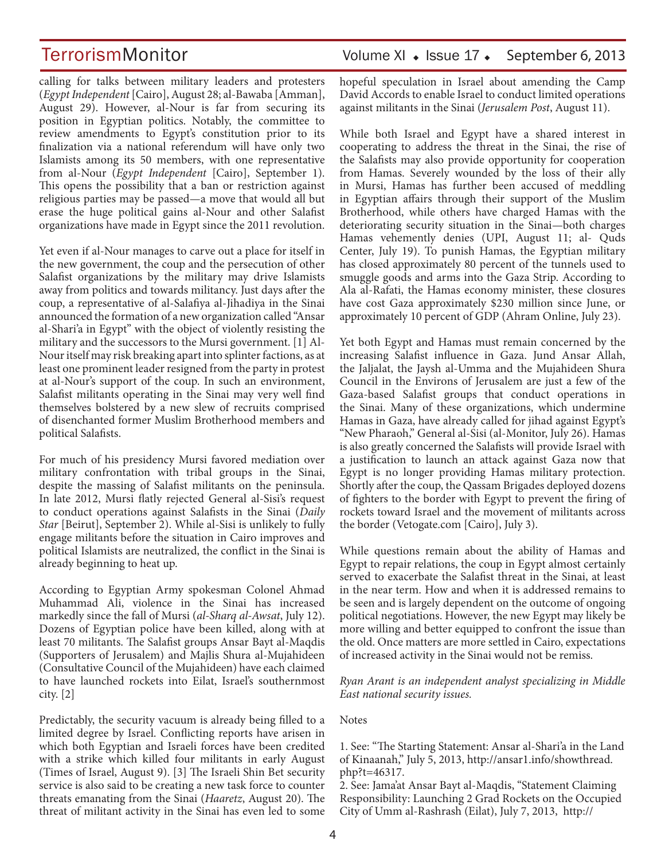calling for talks between military leaders and protesters (*Egypt Independent* [Cairo], August 28; al-Bawaba [Amman], August 29). However, al-Nour is far from securing its position in Egyptian politics. Notably, the committee to review amendments to Egypt's constitution prior to its finalization via a national referendum will have only two Islamists among its 50 members, with one representative from al-Nour (*Egypt Independent* [Cairo], September 1). This opens the possibility that a ban or restriction against religious parties may be passed—a move that would all but erase the huge political gains al-Nour and other Salafist organizations have made in Egypt since the 2011 revolution.

Yet even if al-Nour manages to carve out a place for itself in the new government, the coup and the persecution of other Salafist organizations by the military may drive Islamists away from politics and towards militancy. Just days after the coup, a representative of al-Salafiya al-Jihadiya in the Sinai announced the formation of a new organization called "Ansar al-Shari'a in Egypt" with the object of violently resisting the military and the successors to the Mursi government. [1] Al-Nour itself may risk breaking apart into splinter factions, as at least one prominent leader resigned from the party in protest at al-Nour's support of the coup. In such an environment, Salafist militants operating in the Sinai may very well find themselves bolstered by a new slew of recruits comprised of disenchanted former Muslim Brotherhood members and political Salafists.

For much of his presidency Mursi favored mediation over military confrontation with tribal groups in the Sinai, despite the massing of Salafist militants on the peninsula. In late 2012, Mursi flatly rejected General al-Sisi's request to conduct operations against Salafists in the Sinai (*Daily Star* [Beirut], September 2). While al-Sisi is unlikely to fully engage militants before the situation in Cairo improves and political Islamists are neutralized, the conflict in the Sinai is already beginning to heat up.

According to Egyptian Army spokesman Colonel Ahmad Muhammad Ali, violence in the Sinai has increased markedly since the fall of Mursi (*al-Sharq al-Awsat*, July 12). Dozens of Egyptian police have been killed, along with at least 70 militants. The Salafist groups Ansar Bayt al-Maqdis (Supporters of Jerusalem) and Majlis Shura al-Mujahideen (Consultative Council of the Mujahideen) have each claimed to have launched rockets into Eilat, Israel's southernmost city. [2]

Predictably, the security vacuum is already being filled to a limited degree by Israel. Conflicting reports have arisen in which both Egyptian and Israeli forces have been credited with a strike which killed four militants in early August (Times of Israel, August 9). [3] The Israeli Shin Bet security service is also said to be creating a new task force to counter threats emanating from the Sinai (*Haaretz*, August 20). The threat of militant activity in the Sinai has even led to some

hopeful speculation in Israel about amending the Camp David Accords to enable Israel to conduct limited operations against militants in the Sinai (*Jerusalem Post*, August 11).

While both Israel and Egypt have a shared interest in cooperating to address the threat in the Sinai, the rise of the Salafists may also provide opportunity for cooperation from Hamas. Severely wounded by the loss of their ally in Mursi, Hamas has further been accused of meddling in Egyptian affairs through their support of the Muslim Brotherhood, while others have charged Hamas with the deteriorating security situation in the Sinai—both charges Hamas vehemently denies (UPI, August 11; al- Quds Center, July 19). To punish Hamas, the Egyptian military has closed approximately 80 percent of the tunnels used to smuggle goods and arms into the Gaza Strip. According to Ala al-Rafati, the Hamas economy minister, these closures have cost Gaza approximately \$230 million since June, or approximately 10 percent of GDP (Ahram Online, July 23).

Yet both Egypt and Hamas must remain concerned by the increasing Salafist influence in Gaza. Jund Ansar Allah, the Jaljalat, the Jaysh al-Umma and the Mujahideen Shura Council in the Environs of Jerusalem are just a few of the Gaza-based Salafist groups that conduct operations in the Sinai. Many of these organizations, which undermine Hamas in Gaza, have already called for jihad against Egypt's "New Pharaoh," General al-Sisi (al-Monitor, July 26). Hamas is also greatly concerned the Salafists will provide Israel with a justification to launch an attack against Gaza now that Egypt is no longer providing Hamas military protection. Shortly after the coup, the Qassam Brigades deployed dozens of fighters to the border with Egypt to prevent the firing of rockets toward Israel and the movement of militants across the border (Vetogate.com [Cairo], July 3).

While questions remain about the ability of Hamas and Egypt to repair relations, the coup in Egypt almost certainly served to exacerbate the Salafist threat in the Sinai, at least in the near term. How and when it is addressed remains to be seen and is largely dependent on the outcome of ongoing political negotiations. However, the new Egypt may likely be more willing and better equipped to confront the issue than the old. Once matters are more settled in Cairo, expectations of increased activity in the Sinai would not be remiss.

*Ryan Arant is an independent analyst specializing in Middle East national security issues.*

#### **Notes**

1. See: "The Starting Statement: Ansar al-Shari'a in the Land of Kinaanah," July 5, 2013, http://ansar1.info/showthread. php?t=46317.

2. See: Jama'at Ansar Bayt al-Maqdis, "Statement Claiming Responsibility: Launching 2 Grad Rockets on the Occupied City of Umm al-Rashrash (Eilat), July 7, 2013, http://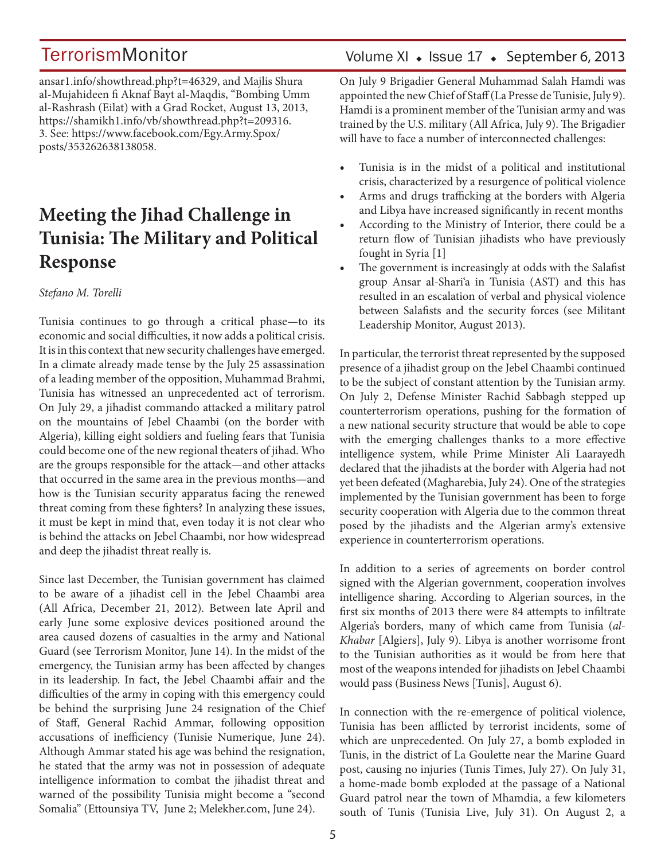ansar1.info/showthread.php?t=46329, and Majlis Shura al-Mujahideen fi Aknaf Bayt al-Maqdis, "Bombing Umm al-Rashrash (Eilat) with a Grad Rocket, August 13, 2013, https://shamikh1.info/vb/showthread.php?t=209316. 3. See: https://www.facebook.com/Egy.Army.Spox/ posts/353262638138058.

## **Meeting the Jihad Challenge in Tunisia: The Military and Political Response**

#### *Stefano M. Torelli*

Tunisia continues to go through a critical phase—to its economic and social difficulties, it now adds a political crisis. It is in this context that new security challenges have emerged. In a climate already made tense by the July 25 assassination of a leading member of the opposition, Muhammad Brahmi, Tunisia has witnessed an unprecedented act of terrorism. On July 29, a jihadist commando attacked a military patrol on the mountains of Jebel Chaambi (on the border with Algeria), killing eight soldiers and fueling fears that Tunisia could become one of the new regional theaters of jihad. Who are the groups responsible for the attack—and other attacks that occurred in the same area in the previous months—and how is the Tunisian security apparatus facing the renewed threat coming from these fighters? In analyzing these issues, it must be kept in mind that, even today it is not clear who is behind the attacks on Jebel Chaambi, nor how widespread and deep the jihadist threat really is.

Since last December, the Tunisian government has claimed to be aware of a jihadist cell in the Jebel Chaambi area (All Africa, December 21, 2012). Between late April and early June some explosive devices positioned around the area caused dozens of casualties in the army and National Guard (see Terrorism Monitor, June 14). In the midst of the emergency, the Tunisian army has been affected by changes in its leadership. In fact, the Jebel Chaambi affair and the difficulties of the army in coping with this emergency could be behind the surprising June 24 resignation of the Chief of Staff, General Rachid Ammar, following opposition accusations of inefficiency (Tunisie Numerique, June 24). Although Ammar stated his age was behind the resignation, he stated that the army was not in possession of adequate intelligence information to combat the jihadist threat and warned of the possibility Tunisia might become a "second Somalia" (Ettounsiya TV, June 2; Melekher.com, June 24).

## Volume XI  $\bullet$  Issue 17  $\bullet$  September 6, 2013

On July 9 Brigadier General Muhammad Salah Hamdi was appointed the new Chief of Staff (La Presse de Tunisie, July 9). Hamdi is a prominent member of the Tunisian army and was trained by the U.S. military (All Africa, July 9). The Brigadier will have to face a number of interconnected challenges:

- Tunisia is in the midst of a political and institutional crisis, characterized by a resurgence of political violence
- Arms and drugs trafficking at the borders with Algeria and Libya have increased significantly in recent months
- According to the Ministry of Interior, there could be a return flow of Tunisian jihadists who have previously fought in Syria [1]
- The government is increasingly at odds with the Salafist group Ansar al-Shari'a in Tunisia (AST) and this has resulted in an escalation of verbal and physical violence between Salafists and the security forces (see Militant Leadership Monitor, August 2013).

In particular, the terrorist threat represented by the supposed presence of a jihadist group on the Jebel Chaambi continued to be the subject of constant attention by the Tunisian army. On July 2, Defense Minister Rachid Sabbagh stepped up counterterrorism operations, pushing for the formation of a new national security structure that would be able to cope with the emerging challenges thanks to a more effective intelligence system, while Prime Minister Ali Laarayedh declared that the jihadists at the border with Algeria had not yet been defeated (Magharebia, July 24). One of the strategies implemented by the Tunisian government has been to forge security cooperation with Algeria due to the common threat posed by the jihadists and the Algerian army's extensive experience in counterterrorism operations.

In addition to a series of agreements on border control signed with the Algerian government, cooperation involves intelligence sharing. According to Algerian sources, in the first six months of 2013 there were 84 attempts to infiltrate Algeria's borders, many of which came from Tunisia (*al-Khabar* [Algiers], July 9). Libya is another worrisome front to the Tunisian authorities as it would be from here that most of the weapons intended for jihadists on Jebel Chaambi would pass (Business News [Tunis], August 6).

In connection with the re-emergence of political violence, Tunisia has been afflicted by terrorist incidents, some of which are unprecedented. On July 27, a bomb exploded in Tunis, in the district of La Goulette near the Marine Guard post, causing no injuries (Tunis Times, July 27). On July 31, a home-made bomb exploded at the passage of a National Guard patrol near the town of Mhamdia, a few kilometers south of Tunis (Tunisia Live, July 31). On August 2, a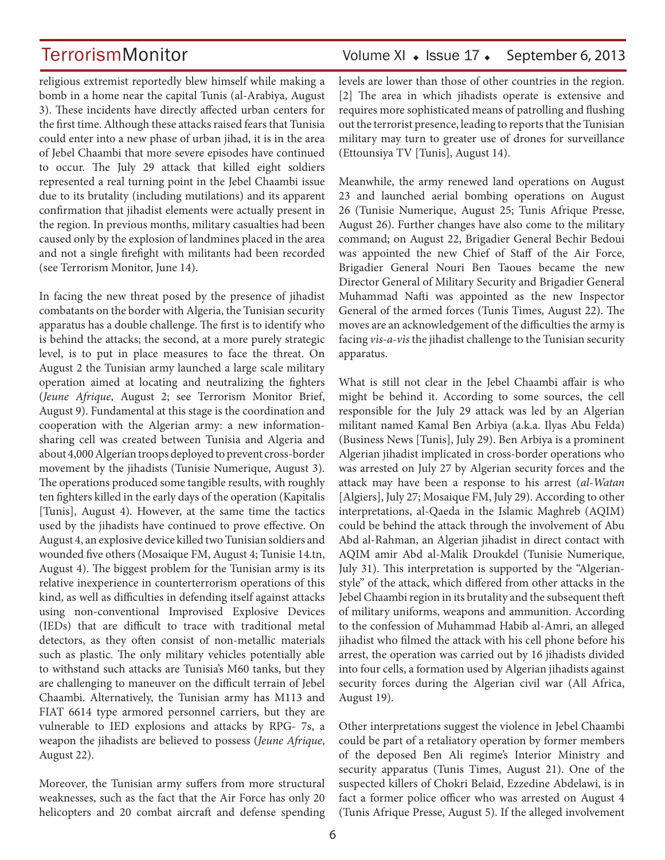religious extremist reportedly blew himself while making a bomb in a home near the capital Tunis (al-Arabiya, August 3). These incidents have directly affected urban centers for the first time. Although these attacks raised fears that Tunisia could enter into a new phase of urban jihad, it is in the area of Jebel Chaambi that more severe episodes have continued to occur. The July 29 attack that killed eight soldiers represented a real turning point in the Jebel Chaambi issue due to its brutality (including mutilations) and its apparent confirmation that jihadist elements were actually present in the region. In previous months, military casualties had been caused only by the explosion of landmines placed in the area and not a single firefight with militants had been recorded (see Terrorism Monitor, June 14).

In facing the new threat posed by the presence of jihadist combatants on the border with Algeria, the Tunisian security apparatus has a double challenge. The first is to identify who is behind the attacks; the second, at a more purely strategic level, is to put in place measures to face the threat. On August 2 the Tunisian army launched a large scale military operation aimed at locating and neutralizing the fighters (*Jeune Afrique*, August 2; see Terrorism Monitor Brief, August 9). Fundamental at this stage is the coordination and cooperation with the Algerian army: a new informationsharing cell was created between Tunisia and Algeria and about 4,000 Algerian troops deployed to prevent cross-border movement by the jihadists (Tunisie Numerique, August 3). The operations produced some tangible results, with roughly ten fighters killed in the early days of the operation (Kapitalis [Tunis], August 4). However, at the same time the tactics used by the jihadists have continued to prove effective. On August 4, an explosive device killed two Tunisian soldiers and wounded five others (Mosaique FM, August 4; Tunisie 14.tn, August 4). The biggest problem for the Tunisian army is its relative inexperience in counterterrorism operations of this kind, as well as difficulties in defending itself against attacks using non-conventional Improvised Explosive Devices (IEDs) that are difficult to trace with traditional metal detectors, as they often consist of non-metallic materials such as plastic. The only military vehicles potentially able to withstand such attacks are Tunisia's M60 tanks, but they are challenging to maneuver on the difficult terrain of Jebel Chaambi. Alternatively, the Tunisian army has M113 and FIAT 6614 type armored personnel carriers, but they are vulnerable to IED explosions and attacks by RPG- 7s, a weapon the jihadists are believed to possess (*Jeune Afrique*, August 22).

Moreover, the Tunisian army suffers from more structural weaknesses, such as the fact that the Air Force has only 20 helicopters and 20 combat aircraft and defense spending

## TerrorismMonitor Volume XI + Issue 17 + September 6, 2013

levels are lower than those of other countries in the region. [2] The area in which jihadists operate is extensive and requires more sophisticated means of patrolling and flushing out the terrorist presence, leading to reports that the Tunisian military may turn to greater use of drones for surveillance (Ettounsiya TV [Tunis], August 14).

Meanwhile, the army renewed land operations on August 23 and launched aerial bombing operations on August 26 (Tunisie Numerique, August 25; Tunis Afrique Presse, August 26). Further changes have also come to the military command; on August 22, Brigadier General Bechir Bedoui was appointed the new Chief of Staff of the Air Force, Brigadier General Nouri Ben Taoues became the new Director General of Military Security and Brigadier General Muhammad Nafti was appointed as the new Inspector General of the armed forces (Tunis Times, August 22). The moves are an acknowledgement of the difficulties the army is facing *vìs-a-vìs* the jihadist challenge to the Tunisian security apparatus.

What is still not clear in the Jebel Chaambi affair is who might be behind it. According to some sources, the cell responsible for the July 29 attack was led by an Algerian militant named Kamal Ben Arbiya (a.k.a. Ilyas Abu Felda) (Business News [Tunis], July 29). Ben Arbiya is a prominent Algerian jihadist implicated in cross-border operations who was arrested on July 27 by Algerian security forces and the attack may have been a response to his arrest (*al-Watan*  [Algiers], July 27; Mosaique FM, July 29). According to other interpretations, al-Qaeda in the Islamic Maghreb (AQIM) could be behind the attack through the involvement of Abu Abd al-Rahman, an Algerian jihadist in direct contact with AQIM amir Abd al-Malik Droukdel (Tunisie Numerique, July 31). This interpretation is supported by the "Algerianstyle" of the attack, which differed from other attacks in the Jebel Chaambi region in its brutality and the subsequent theft of military uniforms, weapons and ammunition. According to the confession of Muhammad Habib al-Amri, an alleged jihadist who filmed the attack with his cell phone before his arrest, the operation was carried out by 16 jihadists divided into four cells, a formation used by Algerian jihadists against security forces during the Algerian civil war (All Africa, August 19).

Other interpretations suggest the violence in Jebel Chaambi could be part of a retaliatory operation by former members of the deposed Ben Ali regime's Interior Ministry and security apparatus (Tunis Times, August 21). One of the suspected killers of Chokri Belaid, Ezzedine Abdelawi, is in fact a former police officer who was arrested on August 4 (Tunis Afrique Presse, August 5). If the alleged involvement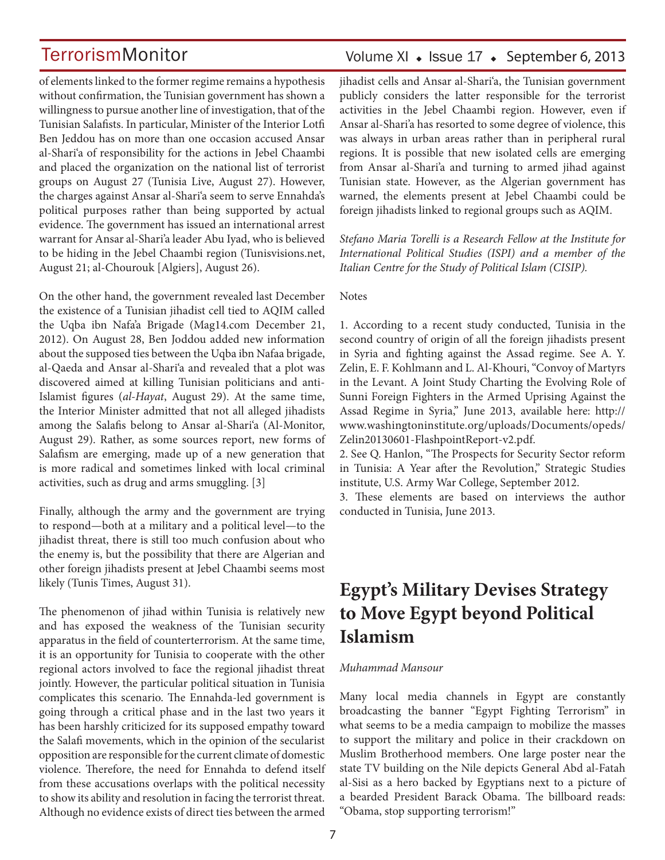of elements linked to the former regime remains a hypothesis without confirmation, the Tunisian government has shown a willingness to pursue another line of investigation, that of the Tunisian Salafists. In particular, Minister of the Interior Lotfi Ben Jeddou has on more than one occasion accused Ansar al-Shari'a of responsibility for the actions in Jebel Chaambi and placed the organization on the national list of terrorist groups on August 27 (Tunisia Live, August 27). However, the charges against Ansar al-Shari'a seem to serve Ennahda's political purposes rather than being supported by actual evidence. The government has issued an international arrest warrant for Ansar al-Shari'a leader Abu Iyad, who is believed to be hiding in the Jebel Chaambi region (Tunisvisions.net, August 21; al-Chourouk [Algiers], August 26).

On the other hand, the government revealed last December the existence of a Tunisian jihadist cell tied to AQIM called the Uqba ibn Nafa'a Brigade (Mag14.com December 21, 2012). On August 28, Ben Joddou added new information about the supposed ties between the Uqba ibn Nafaa brigade, al-Qaeda and Ansar al-Shari'a and revealed that a plot was discovered aimed at killing Tunisian politicians and anti-Islamist figures (*al-Hayat*, August 29). At the same time, the Interior Minister admitted that not all alleged jihadists among the Salafis belong to Ansar al-Shari'a (Al-Monitor, August 29). Rather, as some sources report, new forms of Salafism are emerging, made up of a new generation that is more radical and sometimes linked with local criminal activities, such as drug and arms smuggling. [3]

Finally, although the army and the government are trying to respond—both at a military and a political level—to the jihadist threat, there is still too much confusion about who the enemy is, but the possibility that there are Algerian and other foreign jihadists present at Jebel Chaambi seems most likely (Tunis Times, August 31).

The phenomenon of jihad within Tunisia is relatively new and has exposed the weakness of the Tunisian security apparatus in the field of counterterrorism. At the same time, it is an opportunity for Tunisia to cooperate with the other regional actors involved to face the regional jihadist threat jointly. However, the particular political situation in Tunisia complicates this scenario. The Ennahda-led government is going through a critical phase and in the last two years it has been harshly criticized for its supposed empathy toward the Salafi movements, which in the opinion of the secularist opposition are responsible for the current climate of domestic violence. Therefore, the need for Ennahda to defend itself from these accusations overlaps with the political necessity to show its ability and resolution in facing the terrorist threat. Although no evidence exists of direct ties between the armed

## Volume XI  $\bullet$  Issue 17  $\bullet$  September 6, 2013

jihadist cells and Ansar al-Shari'a, the Tunisian government publicly considers the latter responsible for the terrorist activities in the Jebel Chaambi region. However, even if Ansar al-Shari'a has resorted to some degree of violence, this was always in urban areas rather than in peripheral rural regions. It is possible that new isolated cells are emerging from Ansar al-Shari'a and turning to armed jihad against Tunisian state. However, as the Algerian government has warned, the elements present at Jebel Chaambi could be foreign jihadists linked to regional groups such as AQIM.

*Stefano Maria Torelli is a Research Fellow at the Institute for International Political Studies (ISPI) and a member of the Italian Centre for the Study of Political Islam (CISIP).*

#### Notes

1. According to a recent study conducted, Tunisia in the second country of origin of all the foreign jihadists present in Syria and fighting against the Assad regime. See A. Y. Zelin, E. F. Kohlmann and L. Al-Khouri, "Convoy of Martyrs in the Levant. A Joint Study Charting the Evolving Role of Sunni Foreign Fighters in the Armed Uprising Against the Assad Regime in Syria," June 2013, available here: http:// www.washingtoninstitute.org/uploads/Documents/opeds/ Zelin20130601-FlashpointReport-v2.pdf.

2. See Q. Hanlon, "The Prospects for Security Sector reform in Tunisia: A Year after the Revolution," Strategic Studies institute, U.S. Army War College, September 2012.

3. These elements are based on interviews the author conducted in Tunisia, June 2013.

## **Egypt's Military Devises Strategy to Move Egypt beyond Political Islamism**

#### *Muhammad Mansour*

Many local media channels in Egypt are constantly broadcasting the banner "Egypt Fighting Terrorism" in what seems to be a media campaign to mobilize the masses to support the military and police in their crackdown on Muslim Brotherhood members. One large poster near the state TV building on the Nile depicts General Abd al-Fatah al-Sisi as a hero backed by Egyptians next to a picture of a bearded President Barack Obama. The billboard reads: "Obama, stop supporting terrorism!"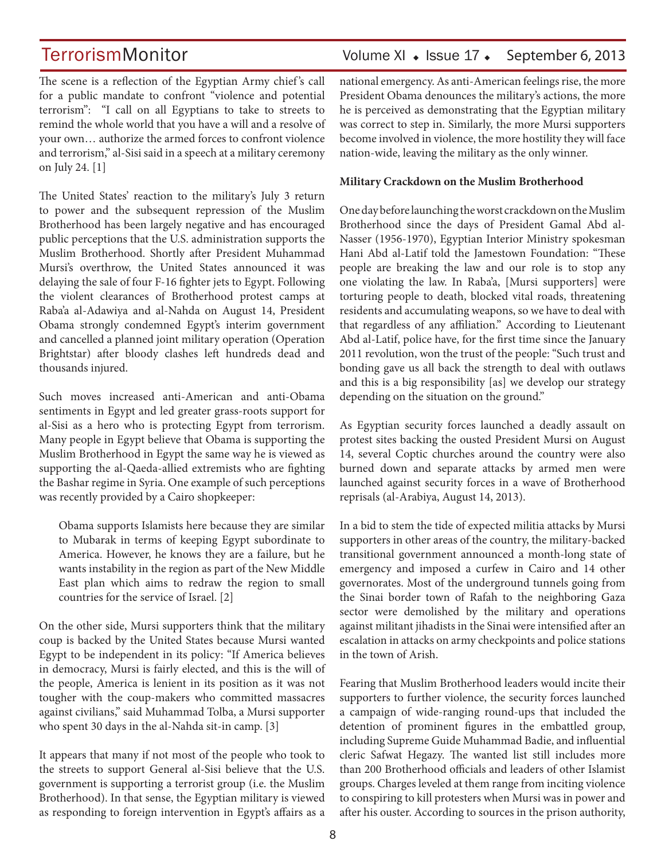## TerrorismMonitor Volume XI + Issue 17 + September 6, 2013

The scene is a reflection of the Egyptian Army chief's call for a public mandate to confront "violence and potential terrorism": "I call on all Egyptians to take to streets to remind the whole world that you have a will and a resolve of your own… authorize the armed forces to confront violence and terrorism," al-Sisi said in a speech at a military ceremony on July 24. [1]

The United States' reaction to the military's July 3 return to power and the subsequent repression of the Muslim Brotherhood has been largely negative and has encouraged public perceptions that the U.S. administration supports the Muslim Brotherhood. Shortly after President Muhammad Mursi's overthrow, the United States announced it was delaying the sale of four F-16 fighter jets to Egypt. Following the violent clearances of Brotherhood protest camps at Raba'a al-Adawiya and al-Nahda on August 14, President Obama strongly condemned Egypt's interim government and cancelled a planned joint military operation (Operation Brightstar) after bloody clashes left hundreds dead and thousands injured.

Such moves increased anti-American and anti-Obama sentiments in Egypt and led greater grass-roots support for al-Sisi as a hero who is protecting Egypt from terrorism. Many people in Egypt believe that Obama is supporting the Muslim Brotherhood in Egypt the same way he is viewed as supporting the al-Qaeda-allied extremists who are fighting the Bashar regime in Syria. One example of such perceptions was recently provided by a Cairo shopkeeper:

Obama supports Islamists here because they are similar to Mubarak in terms of keeping Egypt subordinate to America. However, he knows they are a failure, but he wants instability in the region as part of the New Middle East plan which aims to redraw the region to small countries for the service of Israel. [2]

On the other side, Mursi supporters think that the military coup is backed by the United States because Mursi wanted Egypt to be independent in its policy: "If America believes in democracy, Mursi is fairly elected, and this is the will of the people, America is lenient in its position as it was not tougher with the coup-makers who committed massacres against civilians," said Muhammad Tolba, a Mursi supporter who spent 30 days in the al-Nahda sit-in camp. [3]

It appears that many if not most of the people who took to the streets to support General al-Sisi believe that the U.S. government is supporting a terrorist group (i.e. the Muslim Brotherhood). In that sense, the Egyptian military is viewed as responding to foreign intervention in Egypt's affairs as a national emergency. As anti-American feelings rise, the more President Obama denounces the military's actions, the more he is perceived as demonstrating that the Egyptian military was correct to step in. Similarly, the more Mursi supporters become involved in violence, the more hostility they will face nation-wide, leaving the military as the only winner.

#### **Military Crackdown on the Muslim Brotherhood**

One day before launching the worst crackdown on the Muslim Brotherhood since the days of President Gamal Abd al-Nasser (1956-1970), Egyptian Interior Ministry spokesman Hani Abd al-Latif told the Jamestown Foundation: "These people are breaking the law and our role is to stop any one violating the law. In Raba'a, [Mursi supporters] were torturing people to death, blocked vital roads, threatening residents and accumulating weapons, so we have to deal with that regardless of any affiliation." According to Lieutenant Abd al-Latif, police have, for the first time since the January 2011 revolution, won the trust of the people: "Such trust and bonding gave us all back the strength to deal with outlaws and this is a big responsibility [as] we develop our strategy depending on the situation on the ground."

As Egyptian security forces launched a deadly assault on protest sites backing the ousted President Mursi on August 14, several Coptic churches around the country were also burned down and separate attacks by armed men were launched against security forces in a wave of Brotherhood reprisals (al-Arabiya, August 14, 2013).

In a bid to stem the tide of expected militia attacks by Mursi supporters in other areas of the country, the military-backed transitional government announced a month-long state of emergency and imposed a curfew in Cairo and 14 other governorates. Most of the underground tunnels going from the Sinai border town of Rafah to the neighboring Gaza sector were demolished by the military and operations against militant jihadists in the Sinai were intensified after an escalation in attacks on army checkpoints and police stations in the town of Arish.

Fearing that Muslim Brotherhood leaders would incite their supporters to further violence, the security forces launched a campaign of wide-ranging round-ups that included the detention of prominent figures in the embattled group, including Supreme Guide Muhammad Badie, and influential cleric Safwat Hegazy. The wanted list still includes more than 200 Brotherhood officials and leaders of other Islamist groups. Charges leveled at them range from inciting violence to conspiring to kill protesters when Mursi was in power and after his ouster. According to sources in the prison authority,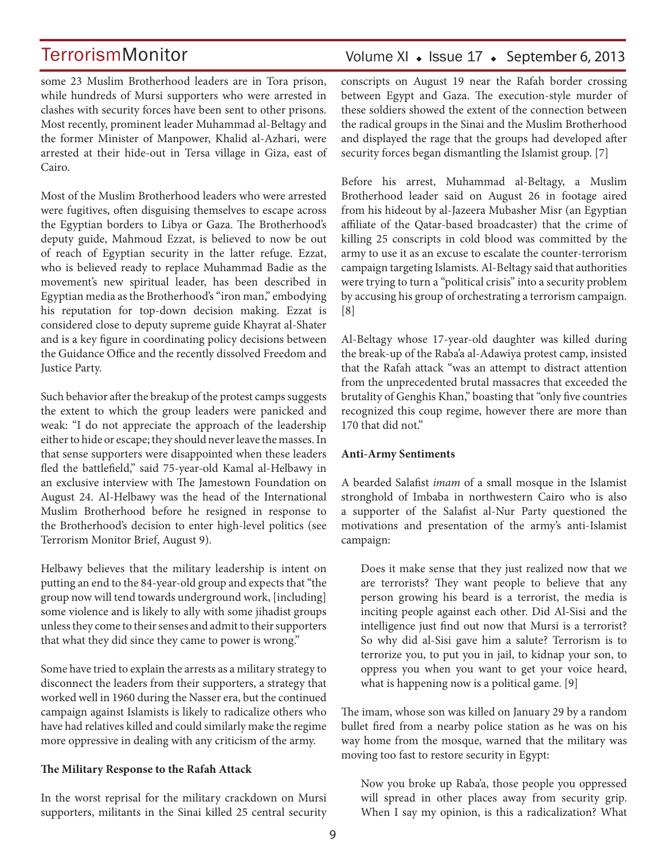some 23 Muslim Brotherhood leaders are in Tora prison, while hundreds of Mursi supporters who were arrested in clashes with security forces have been sent to other prisons. Most recently, prominent leader Muhammad al-Beltagy and the former Minister of Manpower, Khalid al-Azhari, were arrested at their hide-out in Tersa village in Giza, east of Cairo.

Most of the Muslim Brotherhood leaders who were arrested were fugitives, often disguising themselves to escape across the Egyptian borders to Libya or Gaza. The Brotherhood's deputy guide, Mahmoud Ezzat, is believed to now be out of reach of Egyptian security in the latter refuge. Ezzat, who is believed ready to replace Muhammad Badie as the movement's new spiritual leader, has been described in Egyptian media as the Brotherhood's "iron man," embodying his reputation for top-down decision making. Ezzat is considered close to deputy supreme guide Khayrat al-Shater and is a key figure in coordinating policy decisions between the Guidance Office and the recently dissolved Freedom and Justice Party.

Such behavior after the breakup of the protest camps suggests the extent to which the group leaders were panicked and weak: "I do not appreciate the approach of the leadership either to hide or escape; they should never leave the masses. In that sense supporters were disappointed when these leaders fled the battlefield," said 75-year-old Kamal al-Helbawy in an exclusive interview with The Jamestown Foundation on August 24. Al-Helbawy was the head of the International Muslim Brotherhood before he resigned in response to the Brotherhood's decision to enter high-level politics (see Terrorism Monitor Brief, August 9).

Helbawy believes that the military leadership is intent on putting an end to the 84-year-old group and expects that "the group now will tend towards underground work, [including] some violence and is likely to ally with some jihadist groups unless they come to their senses and admit to their supporters that what they did since they came to power is wrong."

Some have tried to explain the arrests as a military strategy to disconnect the leaders from their supporters, a strategy that worked well in 1960 during the Nasser era, but the continued campaign against Islamists is likely to radicalize others who have had relatives killed and could similarly make the regime more oppressive in dealing with any criticism of the army.

## **The Military Response to the Rafah Attack**

In the worst reprisal for the military crackdown on Mursi supporters, militants in the Sinai killed 25 central security

## Volume XI · Issue 17 · September 6, 2013

conscripts on August 19 near the Rafah border crossing between Egypt and Gaza. The execution-style murder of these soldiers showed the extent of the connection between the radical groups in the Sinai and the Muslim Brotherhood and displayed the rage that the groups had developed after security forces began dismantling the Islamist group. [7]

Before his arrest, Muhammad al-Beltagy, a Muslim Brotherhood leader said on August 26 in footage aired from his hideout by al-Jazeera Mubasher Misr (an Egyptian affiliate of the Qatar-based broadcaster) that the crime of killing 25 conscripts in cold blood was committed by the army to use it as an excuse to escalate the counter-terrorism campaign targeting Islamists. Al-Beltagy said that authorities were trying to turn a "political crisis" into a security problem by accusing his group of orchestrating a terrorism campaign. [8]

Al-Beltagy whose 17-year-old daughter was killed during the break-up of the Raba'a al-Adawiya protest camp, insisted that the Rafah attack "was an attempt to distract attention from the unprecedented brutal massacres that exceeded the brutality of Genghis Khan," boasting that "only five countries recognized this coup regime, however there are more than 170 that did not."

## **Anti-Army Sentiments**

A bearded Salafist *imam* of a small mosque in the Islamist stronghold of Imbaba in northwestern Cairo who is also a supporter of the Salafist al-Nur Party questioned the motivations and presentation of the army's anti-Islamist campaign:

Does it make sense that they just realized now that we are terrorists? They want people to believe that any person growing his beard is a terrorist, the media is inciting people against each other. Did Al-Sisi and the intelligence just find out now that Mursi is a terrorist? So why did al-Sisi gave him a salute? Terrorism is to terrorize you, to put you in jail, to kidnap your son, to oppress you when you want to get your voice heard, what is happening now is a political game. [9]

The imam, whose son was killed on January 29 by a random bullet fired from a nearby police station as he was on his way home from the mosque, warned that the military was moving too fast to restore security in Egypt:

Now you broke up Raba'a, those people you oppressed will spread in other places away from security grip. When I say my opinion, is this a radicalization? What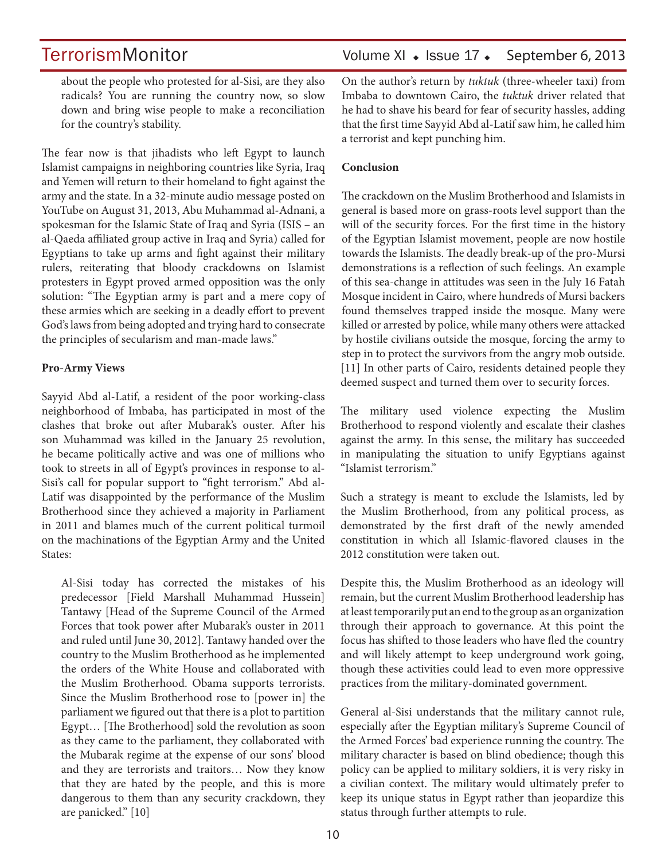TerrorismMonitor Volume XI + Issue 17 + September 6, 2013

about the people who protested for al-Sisi, are they also radicals? You are running the country now, so slow down and bring wise people to make a reconciliation for the country's stability.

The fear now is that jihadists who left Egypt to launch Islamist campaigns in neighboring countries like Syria, Iraq and Yemen will return to their homeland to fight against the army and the state. In a 32-minute audio message posted on YouTube on August 31, 2013, Abu Muhammad al-Adnani, a spokesman for the Islamic State of Iraq and Syria (ISIS – an al-Qaeda affiliated group active in Iraq and Syria) called for Egyptians to take up arms and fight against their military rulers, reiterating that bloody crackdowns on Islamist protesters in Egypt proved armed opposition was the only solution: "The Egyptian army is part and a mere copy of these armies which are seeking in a deadly effort to prevent God's laws from being adopted and trying hard to consecrate the principles of secularism and man-made laws."

#### **Pro-Army Views**

Sayyid Abd al-Latif, a resident of the poor working-class neighborhood of Imbaba, has participated in most of the clashes that broke out after Mubarak's ouster. After his son Muhammad was killed in the January 25 revolution, he became politically active and was one of millions who took to streets in all of Egypt's provinces in response to al-Sisi's call for popular support to "fight terrorism." Abd al-Latif was disappointed by the performance of the Muslim Brotherhood since they achieved a majority in Parliament in 2011 and blames much of the current political turmoil on the machinations of the Egyptian Army and the United States:

Al-Sisi today has corrected the mistakes of his predecessor [Field Marshall Muhammad Hussein] Tantawy [Head of the Supreme Council of the Armed Forces that took power after Mubarak's ouster in 2011 and ruled until June 30, 2012]. Tantawy handed over the country to the Muslim Brotherhood as he implemented the orders of the White House and collaborated with the Muslim Brotherhood. Obama supports terrorists. Since the Muslim Brotherhood rose to [power in] the parliament we figured out that there is a plot to partition Egypt… [The Brotherhood] sold the revolution as soon as they came to the parliament, they collaborated with the Mubarak regime at the expense of our sons' blood and they are terrorists and traitors… Now they know that they are hated by the people, and this is more dangerous to them than any security crackdown, they are panicked." [10]

On the author's return by *tuktuk* (three-wheeler taxi) from Imbaba to downtown Cairo, the *tuktuk* driver related that he had to shave his beard for fear of security hassles, adding that the first time Sayyid Abd al-Latif saw him, he called him a terrorist and kept punching him.

### **Conclusion**

The crackdown on the Muslim Brotherhood and Islamists in general is based more on grass-roots level support than the will of the security forces. For the first time in the history of the Egyptian Islamist movement, people are now hostile towards the Islamists. The deadly break-up of the pro-Mursi demonstrations is a reflection of such feelings. An example of this sea-change in attitudes was seen in the July 16 Fatah Mosque incident in Cairo, where hundreds of Mursi backers found themselves trapped inside the mosque. Many were killed or arrested by police, while many others were attacked by hostile civilians outside the mosque, forcing the army to step in to protect the survivors from the angry mob outside. [11] In other parts of Cairo, residents detained people they deemed suspect and turned them over to security forces.

The military used violence expecting the Muslim Brotherhood to respond violently and escalate their clashes against the army. In this sense, the military has succeeded in manipulating the situation to unify Egyptians against "Islamist terrorism."

Such a strategy is meant to exclude the Islamists, led by the Muslim Brotherhood, from any political process, as demonstrated by the first draft of the newly amended constitution in which all Islamic-flavored clauses in the 2012 constitution were taken out.

Despite this, the Muslim Brotherhood as an ideology will remain, but the current Muslim Brotherhood leadership has at least temporarily put an end to the group as an organization through their approach to governance. At this point the focus has shifted to those leaders who have fled the country and will likely attempt to keep underground work going, though these activities could lead to even more oppressive practices from the military-dominated government.

General al-Sisi understands that the military cannot rule, especially after the Egyptian military's Supreme Council of the Armed Forces' bad experience running the country. The military character is based on blind obedience; though this policy can be applied to military soldiers, it is very risky in a civilian context. The military would ultimately prefer to keep its unique status in Egypt rather than jeopardize this status through further attempts to rule.